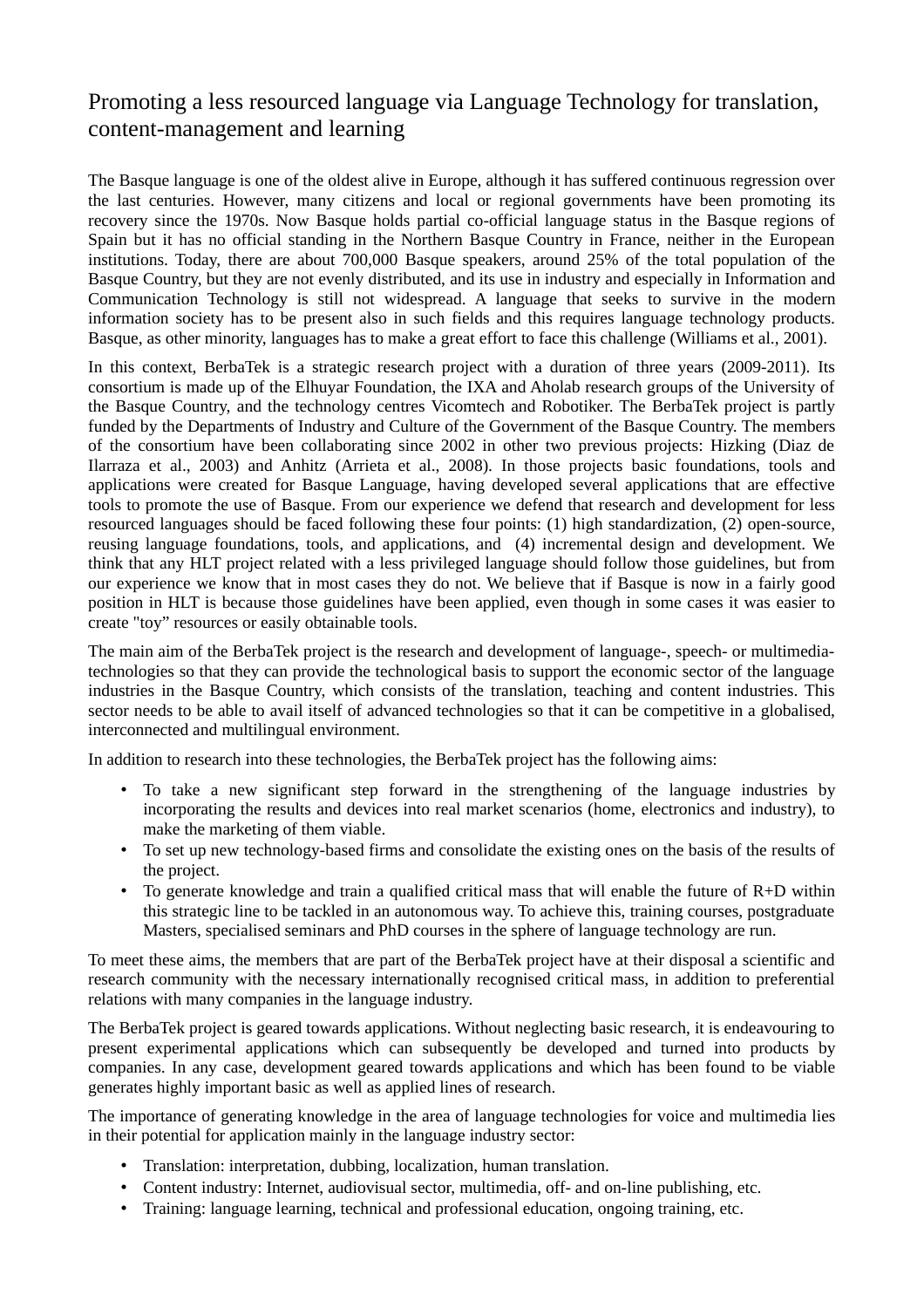## Promoting a less resourced language via Language Technology for translation, content-management and learning

The Basque language is one of the oldest alive in Europe, although it has suffered continuous regression over the last centuries. However, many citizens and local or regional governments have been promoting its recovery since the 1970s. Now Basque holds partial co-official language status in the Basque regions of Spain but it has no official standing in the Northern Basque Country in France, neither in the European institutions. Today, there are about 700,000 Basque speakers, around 25% of the total population of the Basque Country, but they are not evenly distributed, and its use in industry and especially in Information and Communication Technology is still not widespread. A language that seeks to survive in the modern information society has to be present also in such fields and this requires language technology products. Basque, as other minority, languages has to make a great effort to face this challenge (Williams et al., 2001).

In this context, BerbaTek is a strategic research project with a duration of three years (2009-2011). Its consortium is made up of the Elhuyar Foundation, the IXA and Aholab research groups of the University of the Basque Country, and the technology centres Vicomtech and Robotiker. The BerbaTek project is partly funded by the Departments of Industry and Culture of the Government of the Basque Country. The members of the consortium have been collaborating since 2002 in other two previous projects: Hizking (Diaz de Ilarraza et al., 2003) and Anhitz (Arrieta et al., 2008). In those projects basic foundations, tools and applications were created for Basque Language, having developed several applications that are effective tools to promote the use of Basque. From our experience we defend that research and development for less resourced languages should be faced following these four points: (1) high standardization, (2) open-source, reusing language foundations, tools, and applications, and (4) incremental design and development. We think that any HLT project related with a less privileged language should follow those guidelines, but from our experience we know that in most cases they do not. We believe that if Basque is now in a fairly good position in HLT is because those guidelines have been applied, even though in some cases it was easier to create "toy" resources or easily obtainable tools.

The main aim of the BerbaTek project is the research and development of language-, speech- or multimediatechnologies so that they can provide the technological basis to support the economic sector of the language industries in the Basque Country, which consists of the translation, teaching and content industries. This sector needs to be able to avail itself of advanced technologies so that it can be competitive in a globalised, interconnected and multilingual environment.

In addition to research into these technologies, the BerbaTek project has the following aims:

- To take a new significant step forward in the strengthening of the language industries by incorporating the results and devices into real market scenarios (home, electronics and industry), to make the marketing of them viable.
- To set up new technology-based firms and consolidate the existing ones on the basis of the results of the project.
- To generate knowledge and train a qualified critical mass that will enable the future of  $R+D$  within this strategic line to be tackled in an autonomous way. To achieve this, training courses, postgraduate Masters, specialised seminars and PhD courses in the sphere of language technology are run.

To meet these aims, the members that are part of the BerbaTek project have at their disposal a scientific and research community with the necessary internationally recognised critical mass, in addition to preferential relations with many companies in the language industry.

The BerbaTek project is geared towards applications. Without neglecting basic research, it is endeavouring to present experimental applications which can subsequently be developed and turned into products by companies. In any case, development geared towards applications and which has been found to be viable generates highly important basic as well as applied lines of research.

The importance of generating knowledge in the area of language technologies for voice and multimedia lies in their potential for application mainly in the language industry sector:

- Translation: interpretation, dubbing, localization, human translation.
- Content industry: Internet, audiovisual sector, multimedia, off- and on-line publishing, etc.
- Training: language learning, technical and professional education, ongoing training, etc.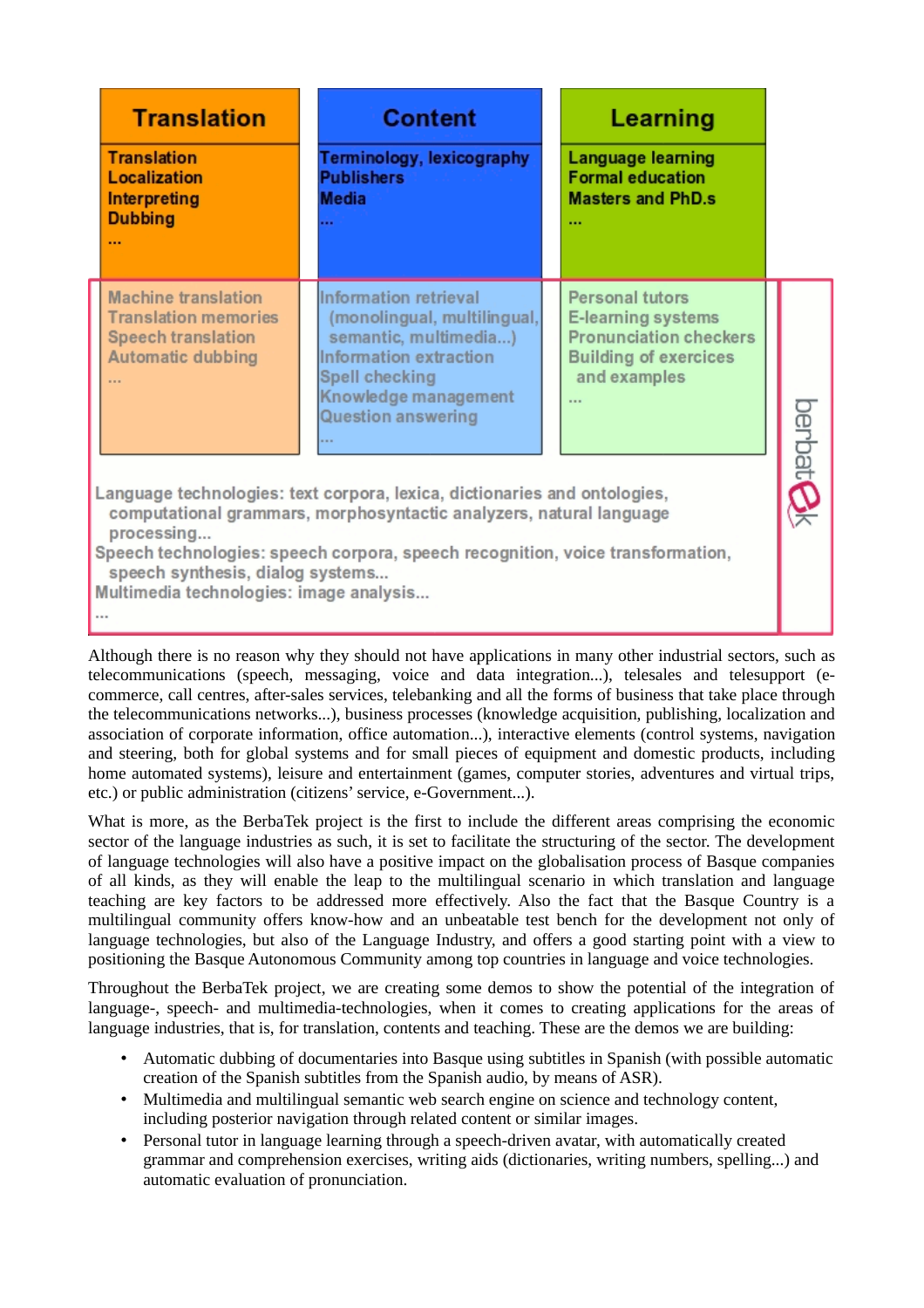|                                                                                                                                                                                                                                                                                                                                 | <b>Translation</b><br><b>Translation</b><br><b>Localization</b><br>Interpreting<br><b>Dubbing</b><br>                          | <b>Content</b><br><b>Terminology, lexicography</b><br><b>Publishers</b><br><b>Media</b><br>                                                                                    |  | <b>Learning</b><br><b>Language learning</b><br><b>Formal education</b><br><b>Masters and PhD.s</b><br>$\cdots$         |  |                 |
|---------------------------------------------------------------------------------------------------------------------------------------------------------------------------------------------------------------------------------------------------------------------------------------------------------------------------------|--------------------------------------------------------------------------------------------------------------------------------|--------------------------------------------------------------------------------------------------------------------------------------------------------------------------------|--|------------------------------------------------------------------------------------------------------------------------|--|-----------------|
|                                                                                                                                                                                                                                                                                                                                 | <b>Machine translation</b><br><b>Translation memories</b><br><b>Speech translation</b><br><b>Automatic dubbing</b><br>$\cdots$ | Information retrieval<br>(monolingual, multilingual,<br>semantic, multimedia)<br>Information extraction<br>Spell checking<br>Knowledge management<br><b>Question answering</b> |  | Personal tutors<br>E-learning systems<br><b>Pronunciation checkers</b><br><b>Building of exercices</b><br>and examples |  | berbat <b>(</b> |
| Language technologies: text corpora, lexica, dictionaries and ontologies,<br>computational grammars, morphosyntactic analyzers, natural language<br>processing<br>Speech technologies: speech corpora, speech recognition, voice transformation,<br>speech synthesis, dialog systems<br>Multimedia technologies: image analysis |                                                                                                                                |                                                                                                                                                                                |  |                                                                                                                        |  |                 |

Although there is no reason why they should not have applications in many other industrial sectors, such as telecommunications (speech, messaging, voice and data integration...), telesales and telesupport (ecommerce, call centres, after-sales services, telebanking and all the forms of business that take place through the telecommunications networks...), business processes (knowledge acquisition, publishing, localization and association of corporate information, office automation...), interactive elements (control systems, navigation and steering, both for global systems and for small pieces of equipment and domestic products, including home automated systems), leisure and entertainment (games, computer stories, adventures and virtual trips, etc.) or public administration (citizens' service, e-Government...).

What is more, as the BerbaTek project is the first to include the different areas comprising the economic sector of the language industries as such, it is set to facilitate the structuring of the sector. The development of language technologies will also have a positive impact on the globalisation process of Basque companies of all kinds, as they will enable the leap to the multilingual scenario in which translation and language teaching are key factors to be addressed more effectively. Also the fact that the Basque Country is a multilingual community offers know-how and an unbeatable test bench for the development not only of language technologies, but also of the Language Industry, and offers a good starting point with a view to positioning the Basque Autonomous Community among top countries in language and voice technologies.

Throughout the BerbaTek project, we are creating some demos to show the potential of the integration of language-, speech- and multimedia-technologies, when it comes to creating applications for the areas of language industries, that is, for translation, contents and teaching. These are the demos we are building:

- Automatic dubbing of documentaries into Basque using subtitles in Spanish (with possible automatic creation of the Spanish subtitles from the Spanish audio, by means of ASR).
- Multimedia and multilingual semantic web search engine on science and technology content, including posterior navigation through related content or similar images.
- Personal tutor in language learning through a speech-driven avatar, with automatically created grammar and comprehension exercises, writing aids (dictionaries, writing numbers, spelling...) and automatic evaluation of pronunciation.